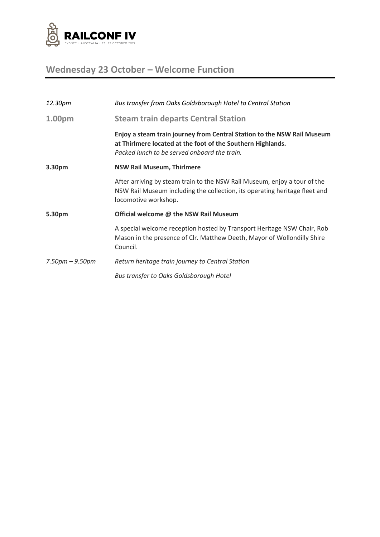

# **Wednesday 23 October – Welcome Function**

| 12.30pm               | Bus transfer from Oaks Goldsborough Hotel to Central Station                                                                                                                           |
|-----------------------|----------------------------------------------------------------------------------------------------------------------------------------------------------------------------------------|
| 1.00pm                | <b>Steam train departs Central Station</b>                                                                                                                                             |
|                       | Enjoy a steam train journey from Central Station to the NSW Rail Museum<br>at Thirlmere located at the foot of the Southern Highlands.<br>Packed lunch to be served onboard the train. |
| 3.30pm                | <b>NSW Rail Museum, Thirlmere</b>                                                                                                                                                      |
|                       | After arriving by steam train to the NSW Rail Museum, enjoy a tour of the<br>NSW Rail Museum including the collection, its operating heritage fleet and<br>locomotive workshop.        |
| 5.30pm                | Official welcome @ the NSW Rail Museum                                                                                                                                                 |
|                       | A special welcome reception hosted by Transport Heritage NSW Chair, Rob<br>Mason in the presence of Clr. Matthew Deeth, Mayor of Wollondilly Shire<br>Council.                         |
| $7.50$ pm $- 9.50$ pm | Return heritage train journey to Central Station                                                                                                                                       |
|                       | Bus transfer to Oaks Goldsborough Hotel                                                                                                                                                |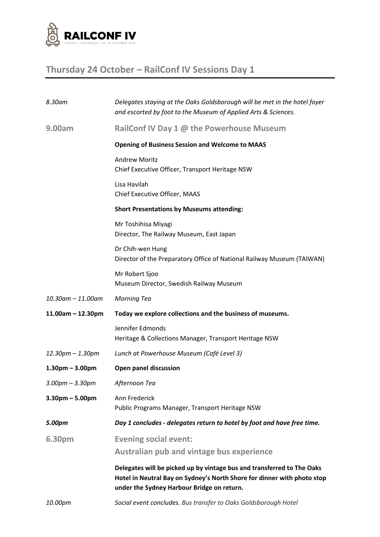

## **Thursday 24 October – RailConf IV Sessions Day 1**

| 8.30am                  | Delegates staying at the Oaks Goldsborough will be met in the hotel foyer<br>and escorted by foot to the Museum of Applied Arts & Sciences.                                                     |
|-------------------------|-------------------------------------------------------------------------------------------------------------------------------------------------------------------------------------------------|
| 9.00am                  | RailConf IV Day 1 @ the Powerhouse Museum                                                                                                                                                       |
|                         | <b>Opening of Business Session and Welcome to MAAS</b>                                                                                                                                          |
|                         | <b>Andrew Moritz</b><br>Chief Executive Officer, Transport Heritage NSW                                                                                                                         |
|                         | Lisa Havilah<br>Chief Executive Officer, MAAS                                                                                                                                                   |
|                         | <b>Short Presentations by Museums attending:</b>                                                                                                                                                |
|                         | Mr Toshihisa Miyagi<br>Director, The Railway Museum, East Japan                                                                                                                                 |
|                         | Dr Chih-wen Hung<br>Director of the Preparatory Office of National Railway Museum (TAIWAN)                                                                                                      |
|                         | Mr Robert Sjoo<br>Museum Director, Swedish Railway Museum                                                                                                                                       |
| $10.30$ am $- 11.00$ am | <b>Morning Tea</b>                                                                                                                                                                              |
| $11.00am - 12.30pm$     | Today we explore collections and the business of museums.                                                                                                                                       |
|                         | Jennifer Edmonds<br>Heritage & Collections Manager, Transport Heritage NSW                                                                                                                      |
| $12.30$ pm $- 1.30$ pm  | Lunch at Powerhouse Museum (Café Level 3)                                                                                                                                                       |
| $1.30pm - 3.00pm$       | <b>Open panel discussion</b>                                                                                                                                                                    |
| $3.00$ pm $- 3.30$ pm   | Afternoon Tea                                                                                                                                                                                   |
| $3.30$ pm $- 5.00$ pm   | Ann Frederick<br>Public Programs Manager, Transport Heritage NSW                                                                                                                                |
| 5.00pm                  | Day 1 concludes - delegates return to hotel by foot and have free time.                                                                                                                         |
| 6.30pm                  | <b>Evening social event:</b><br>Australian pub and vintage bus experience                                                                                                                       |
|                         | Delegates will be picked up by vintage bus and transferred to The Oaks<br>Hotel in Neutral Bay on Sydney's North Shore for dinner with photo stop<br>under the Sydney Harbour Bridge on return. |
| 10.00pm                 | Social event concludes. Bus transfer to Oaks Goldsborough Hotel                                                                                                                                 |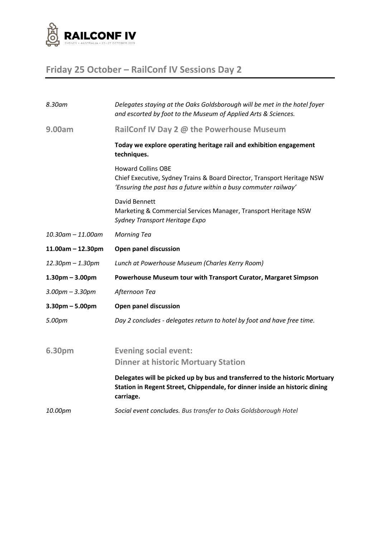

## **Friday 25 October – RailConf IV Sessions Day 2**

| 8.30am                  | Delegates staying at the Oaks Goldsborough will be met in the hotel foyer<br>and escorted by foot to the Museum of Applied Arts & Sciences.                             |
|-------------------------|-------------------------------------------------------------------------------------------------------------------------------------------------------------------------|
| 9.00am                  | RailConf IV Day 2 @ the Powerhouse Museum                                                                                                                               |
|                         | Today we explore operating heritage rail and exhibition engagement<br>techniques.                                                                                       |
|                         | <b>Howard Collins OBE</b><br>Chief Executive, Sydney Trains & Board Director, Transport Heritage NSW<br>'Ensuring the past has a future within a busy commuter railway' |
|                         | David Bennett<br>Marketing & Commercial Services Manager, Transport Heritage NSW<br>Sydney Transport Heritage Expo                                                      |
| $10.30$ am $- 11.00$ am | <b>Morning Tea</b>                                                                                                                                                      |
| $11.00am - 12.30pm$     | <b>Open panel discussion</b>                                                                                                                                            |
| 12.30pm - 1.30pm        | Lunch at Powerhouse Museum (Charles Kerry Room)                                                                                                                         |
| $1.30pm - 3.00pm$       | Powerhouse Museum tour with Transport Curator, Margaret Simpson                                                                                                         |
| $3.00$ pm $- 3.30$ pm   | Afternoon Tea                                                                                                                                                           |
| $3.30$ pm $- 5.00$ pm   | <b>Open panel discussion</b>                                                                                                                                            |
| 5.00pm                  | Day 2 concludes - delegates return to hotel by foot and have free time.                                                                                                 |
| 6.30pm                  | <b>Evening social event:</b><br><b>Dinner at historic Mortuary Station</b>                                                                                              |
|                         | Delegates will be picked up by bus and transferred to the historic Mortuary<br>Station in Regent Street, Chippendale, for dinner inside an historic dining<br>carriage. |
| 10.00pm                 | Social event concludes. Bus transfer to Oaks Goldsborough Hotel                                                                                                         |